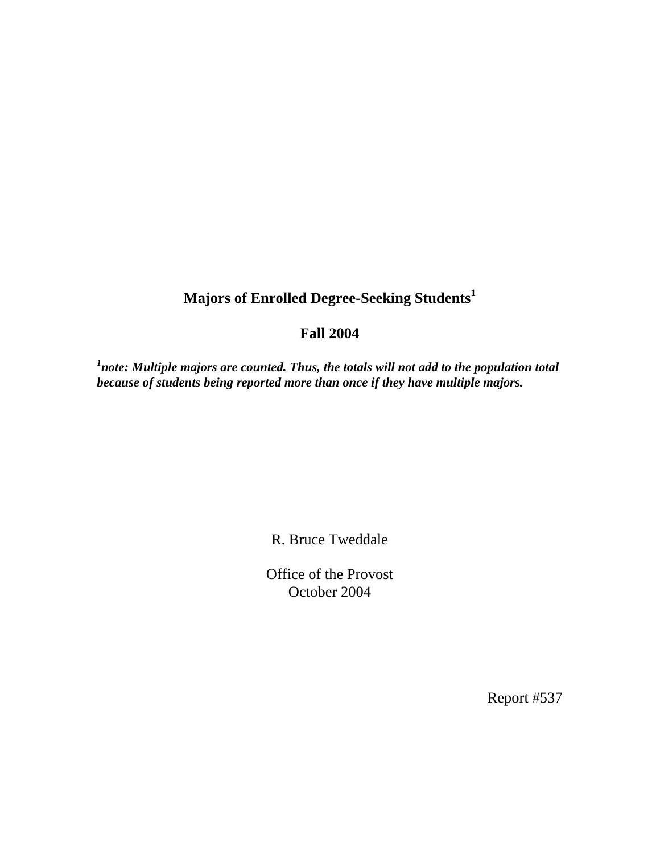## **Majors of Enrolled Degree-Seeking Students<sup>1</sup>**

## **Fall 2004**

<sup>1</sup>note: Multiple majors are counted. Thus, the totals will not add to the population total *because of students being reported more than once if they have multiple majors.* 

R. Bruce Tweddale

Office of the Provost October 2004

Report #537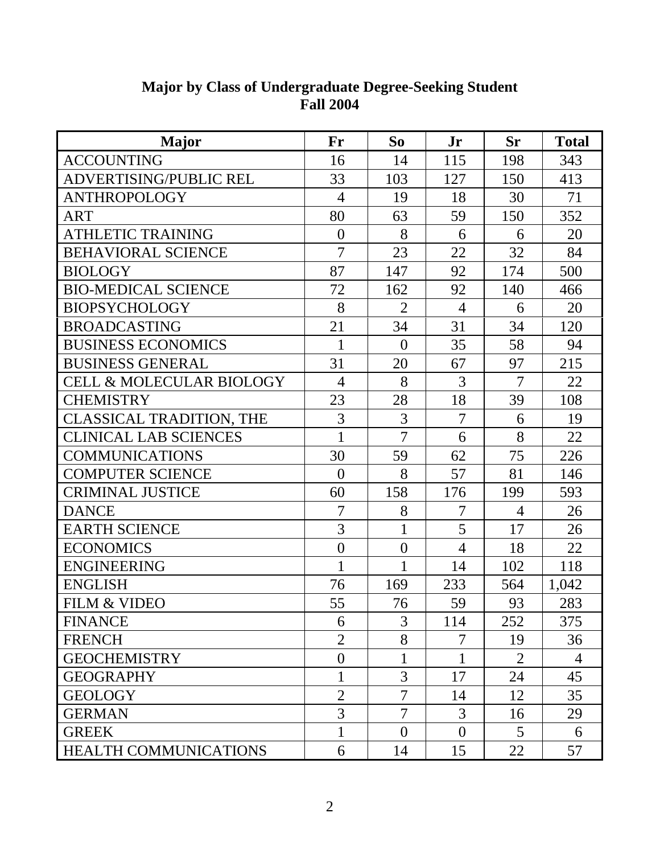| <b>Major</b>                        | Fr             | So             | Jr             | <b>Sr</b>      | <b>Total</b> |
|-------------------------------------|----------------|----------------|----------------|----------------|--------------|
| <b>ACCOUNTING</b>                   | 16             | 14             | 115            | 198            | 343          |
| ADVERTISING/PUBLIC REL              | 33             | 103            | 127            | 150            | 413          |
| <b>ANTHROPOLOGY</b>                 | $\overline{4}$ | 19             | 18             | 30             | 71           |
| <b>ART</b>                          | 80             | 63             | 59             | 150            | 352          |
| <b>ATHLETIC TRAINING</b>            | $\theta$       | 8              | 6              | 6              | 20           |
| <b>BEHAVIORAL SCIENCE</b>           | $\overline{7}$ | 23             | 22             | 32             | 84           |
| <b>BIOLOGY</b>                      | 87             | 147            | 92             | 174            | 500          |
| <b>BIO-MEDICAL SCIENCE</b>          | 72             | 162            | 92             | 140            | 466          |
| <b>BIOPSYCHOLOGY</b>                | 8              | $\overline{2}$ | $\overline{4}$ | 6              | 20           |
| <b>BROADCASTING</b>                 | 21             | 34             | 31             | 34             | 120          |
| <b>BUSINESS ECONOMICS</b>           | 1              | $\overline{0}$ | 35             | 58             | 94           |
| <b>BUSINESS GENERAL</b>             | 31             | 20             | 67             | 97             | 215          |
| <b>CELL &amp; MOLECULAR BIOLOGY</b> | $\overline{4}$ | 8              | 3              | $\overline{7}$ | 22           |
| <b>CHEMISTRY</b>                    | 23             | 28             | 18             | 39             | 108          |
| <b>CLASSICAL TRADITION, THE</b>     | 3              | 3              | 7              | 6              | 19           |
| <b>CLINICAL LAB SCIENCES</b>        | 1              | $\overline{7}$ | 6              | 8              | 22           |
| <b>COMMUNICATIONS</b>               | 30             | 59             | 62             | 75             | 226          |
| <b>COMPUTER SCIENCE</b>             | $\theta$       | 8              | 57             | 81             | 146          |
| <b>CRIMINAL JUSTICE</b>             | 60             | 158            | 176            | 199            | 593          |
| <b>DANCE</b>                        | $\overline{7}$ | 8              | 7              | $\overline{4}$ | 26           |
| <b>EARTH SCIENCE</b>                | 3              | $\mathbf{1}$   | 5              | 17             | 26           |
| <b>ECONOMICS</b>                    | $\overline{0}$ | $\overline{0}$ | $\overline{4}$ | 18             | 22           |
| <b>ENGINEERING</b>                  |                | 1              | 14             | 102            | 118          |
| <b>ENGLISH</b>                      | 76             | 169            | 233            | 564            | 1,042        |
| <b>FILM &amp; VIDEO</b>             | 55             | 76             | 59             | 93             | 283          |
| <b>FINANCE</b>                      | 6              | 3              | 114            | 252            | 375          |
| <b>FRENCH</b>                       | $\overline{2}$ | 8              | 7              | 19             | 36           |
| <b>GEOCHEMISTRY</b>                 | $\overline{0}$ | 1              | 1              | $\overline{2}$ | 4            |
| <b>GEOGRAPHY</b>                    |                | 3              | 17             | 24             | 45           |
| <b>GEOLOGY</b>                      | $\overline{2}$ | $\overline{7}$ | 14             | 12             | 35           |
| <b>GERMAN</b>                       | 3              | 7              | 3              | 16             | 29           |
| <b>GREEK</b>                        | 1              | $\overline{0}$ | $\overline{0}$ | 5              | 6            |
| HEALTH COMMUNICATIONS               | 6              | 14             | 15             | 22             | 57           |

## **Major by Class of Undergraduate Degree-Seeking Student Fall 2004**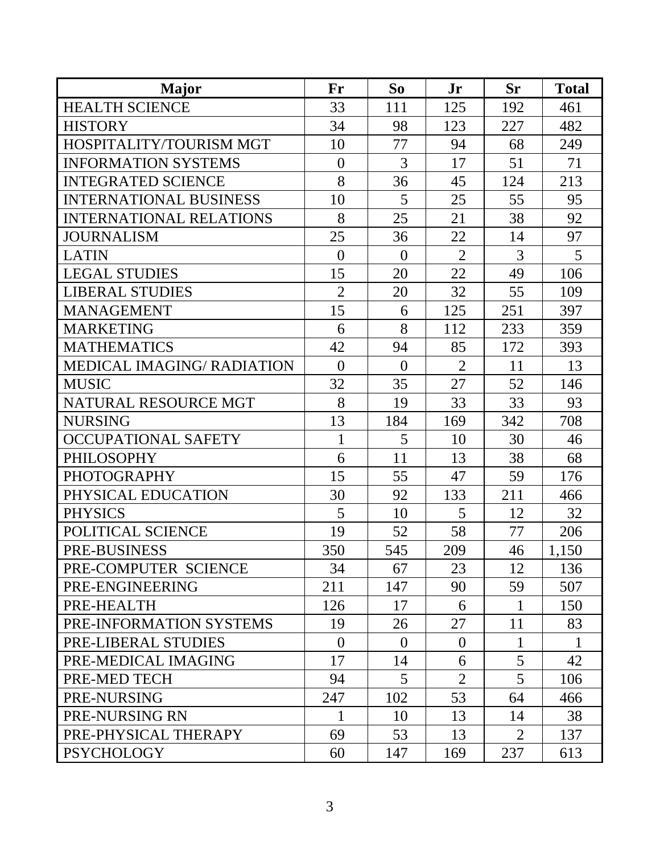| <b>Major</b>                      | Fr             | So             | Jr             | <b>Sr</b>      | <b>Total</b> |
|-----------------------------------|----------------|----------------|----------------|----------------|--------------|
| <b>HEALTH SCIENCE</b>             | 33             | 111            | 125            | 192            | 461          |
| <b>HISTORY</b>                    | 34             | 98             | 123            | 227            | 482          |
| HOSPITALITY/TOURISM MGT           | 10             | 77             | 94             | 68             | 249          |
| <b>INFORMATION SYSTEMS</b>        | $\theta$       | 3              | 17             | 51             | 71           |
| <b>INTEGRATED SCIENCE</b>         | 8              | 36             | 45             | 124            | 213          |
| <b>INTERNATIONAL BUSINESS</b>     | 10             | 5              | 25             | 55             | 95           |
| <b>INTERNATIONAL RELATIONS</b>    | 8              | 25             | 21             | 38             | 92           |
| <b>JOURNALISM</b>                 | 25             | 36             | 22             | 14             | 97           |
| <b>LATIN</b>                      | $\overline{0}$ | $\theta$       | $\overline{2}$ | 3              | 5            |
| <b>LEGAL STUDIES</b>              | 15             | 20             | 22             | 49             | 106          |
| <b>LIBERAL STUDIES</b>            | $\overline{2}$ | 20             | 32             | 55             | 109          |
| <b>MANAGEMENT</b>                 | 15             | 6              | 125            | 251            | 397          |
| <b>MARKETING</b>                  | 6              | 8              | 112            | 233            | 359          |
| <b>MATHEMATICS</b>                | 42             | 94             | 85             | 172            | 393          |
| <b>MEDICAL IMAGING/ RADIATION</b> | $\overline{0}$ | $\overline{0}$ | $\overline{2}$ | 11             | 13           |
| <b>MUSIC</b>                      | 32             | 35             | 27             | 52             | 146          |
| NATURAL RESOURCE MGT              | 8              | 19             | 33             | 33             | 93           |
| <b>NURSING</b>                    | 13             | 184            | 169            | 342            | 708          |
| <b>OCCUPATIONAL SAFETY</b>        | 1              | 5              | 10             | 30             | 46           |
| <b>PHILOSOPHY</b>                 | 6              | 11             | 13             | 38             | 68           |
| <b>PHOTOGRAPHY</b>                | 15             | 55             | 47             | 59             | 176          |
| PHYSICAL EDUCATION                | 30             | 92             | 133            | 211            | 466          |
| <b>PHYSICS</b>                    | 5              | 10             | 5              | 12             | 32           |
| POLITICAL SCIENCE                 | 19             | 52             | 58             | 77             | 206          |
| <b>PRE-BUSINESS</b>               | 350            | 545            | 209            | 46             | 1,150        |
| PRE-COMPUTER SCIENCE              | 34             | 67             | 23             | 12             | 136          |
| PRE-ENGINEERING                   | 211            | 147            | 90             | 59             | 507          |
| PRE-HEALTH                        | 126            | 17             | 6              | 1              | 150          |
| PRE-INFORMATION SYSTEMS           | 19             | 26             | 27             | 11             | 83           |
| PRE-LIBERAL STUDIES               | $\theta$       | $\theta$       | $\theta$       |                | 1            |
| PRE-MEDICAL IMAGING               | 17             | 14             | 6              | 5              | 42           |
| PRE-MED TECH                      | 94             | 5              | $\overline{2}$ | 5              | 106          |
| PRE-NURSING                       | 247            | 102            | 53             | 64             | 466          |
| PRE-NURSING RN                    | 1              | 10             | 13             | 14             | 38           |
| PRE-PHYSICAL THERAPY              | 69             | 53             | 13             | $\overline{2}$ | 137          |
| <b>PSYCHOLOGY</b>                 | 60             | 147            | 169            | 237            | 613          |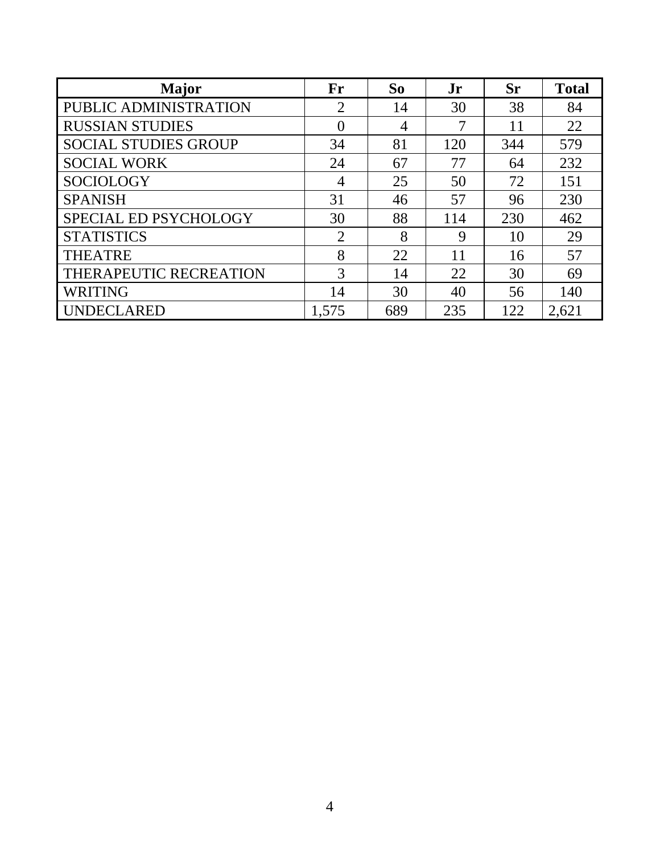| <b>Major</b>                | Fr             | So  | Jr  | <b>Sr</b> | <b>Total</b> |
|-----------------------------|----------------|-----|-----|-----------|--------------|
| PUBLIC ADMINISTRATION       | ⌒              | 14  | 30  | 38        | 84           |
| <b>RUSSIAN STUDIES</b>      | $\theta$       | 4   | 7   | 11        | 22           |
| <b>SOCIAL STUDIES GROUP</b> | 34             | 81  | 120 | 344       | 579          |
| <b>SOCIAL WORK</b>          | 24             | 67  | 77  | 64        | 232          |
| <b>SOCIOLOGY</b>            | 4              | 25  | 50  | 72        | 151          |
| <b>SPANISH</b>              | 31             | 46  | 57  | 96        | 230          |
| SPECIAL ED PSYCHOLOGY       | 30             | 88  | 114 | 230       | 462          |
| <b>STATISTICS</b>           | $\overline{2}$ | 8   | 9   | 10        | 29           |
| <b>THEATRE</b>              | 8              | 22  | 11  | 16        | 57           |
| THERAPEUTIC RECREATION      | 3              | 14  | 22  | 30        | 69           |
| <b>WRITING</b>              | 14             | 30  | 40  | 56        | 140          |
| <b>UNDECLARED</b>           | 1,575          | 689 | 235 | 122       | 2.621        |